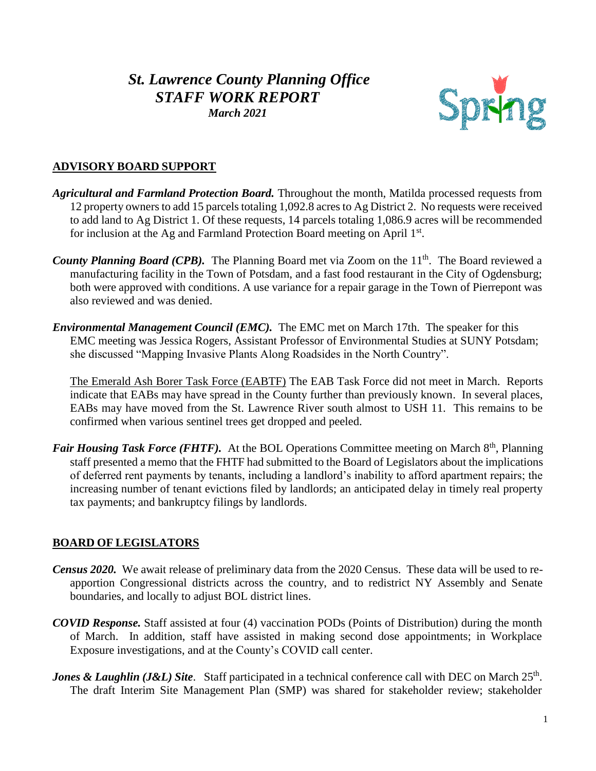# *St. Lawrence County Planning Office STAFF WORK REPORT*

Spring

## *March 2021*

# **ADVISORY BOARD SUPPORT**

- *Agricultural and Farmland Protection Board.* Throughout the month, Matilda processed requests from 12 property owners to add 15 parcels totaling 1,092.8 acres to Ag District 2. No requests were received to add land to Ag District 1. Of these requests, 14 parcels totaling 1,086.9 acres will be recommended for inclusion at the Ag and Farmland Protection Board meeting on April 1st.
- County Planning Board (CPB). The Planning Board met via Zoom on the 11<sup>th</sup>. The Board reviewed a manufacturing facility in the Town of Potsdam, and a fast food restaurant in the City of Ogdensburg; both were approved with conditions. A use variance for a repair garage in the Town of Pierrepont was also reviewed and was denied.
- *Environmental Management Council (EMC).* The EMC met on March 17th. The speaker for this EMC meeting was Jessica Rogers, Assistant Professor of Environmental Studies at SUNY Potsdam; she discussed "Mapping Invasive Plants Along Roadsides in the North Country".

The Emerald Ash Borer Task Force (EABTF) The EAB Task Force did not meet in March. Reports indicate that EABs may have spread in the County further than previously known. In several places, EABs may have moved from the St. Lawrence River south almost to USH 11. This remains to be confirmed when various sentinel trees get dropped and peeled.

*Fair Housing Task Force (FHTF).* At the BOL Operations Committee meeting on March 8<sup>th</sup>, Planning staff presented a memo that the FHTF had submitted to the Board of Legislators about the implications of deferred rent payments by tenants, including a landlord's inability to afford apartment repairs; the increasing number of tenant evictions filed by landlords; an anticipated delay in timely real property tax payments; and bankruptcy filings by landlords.

## **BOARD OF LEGISLATORS**

- *Census 2020.* We await release of preliminary data from the 2020 Census. These data will be used to reapportion Congressional districts across the country, and to redistrict NY Assembly and Senate boundaries, and locally to adjust BOL district lines.
- *COVID Response.* Staff assisted at four (4) vaccination PODs (Points of Distribution) during the month of March. In addition, staff have assisted in making second dose appointments; in Workplace Exposure investigations, and at the County's COVID call center.
- *Jones & Laughlin (J&L) Site.* Staff participated in a technical conference call with DEC on March 25<sup>th</sup>. The draft Interim Site Management Plan (SMP) was shared for stakeholder review; stakeholder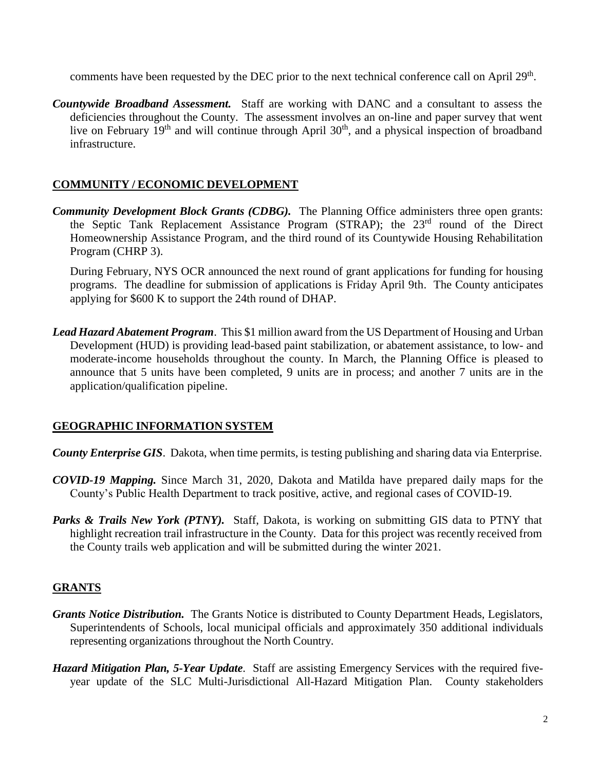comments have been requested by the DEC prior to the next technical conference call on April 29<sup>th</sup>.

*Countywide Broadband Assessment.* Staff are working with DANC and a consultant to assess the deficiencies throughout the County. The assessment involves an on-line and paper survey that went live on February 19<sup>th</sup> and will continue through April 30<sup>th</sup>, and a physical inspection of broadband infrastructure.

#### **COMMUNITY / ECONOMIC DEVELOPMENT**

*Community Development Block Grants (CDBG).* The Planning Office administers three open grants: the Septic Tank Replacement Assistance Program (STRAP); the 23rd round of the Direct Homeownership Assistance Program, and the third round of its Countywide Housing Rehabilitation Program (CHRP 3).

During February, NYS OCR announced the next round of grant applications for funding for housing programs. The deadline for submission of applications is Friday April 9th. The County anticipates applying for \$600 K to support the 24th round of DHAP.

*Lead Hazard Abatement Program*. This \$1 million award from the US Department of Housing and Urban Development (HUD) is providing lead-based paint stabilization, or abatement assistance, to low- and moderate-income households throughout the county. In March, the Planning Office is pleased to announce that 5 units have been completed, 9 units are in process; and another 7 units are in the application/qualification pipeline.

#### **GEOGRAPHIC INFORMATION SYSTEM**

*County Enterprise GIS*. Dakota, when time permits, is testing publishing and sharing data via Enterprise.

- *COVID-19 Mapping.* Since March 31, 2020, Dakota and Matilda have prepared daily maps for the County's Public Health Department to track positive, active, and regional cases of COVID-19.
- **Parks & Trails New York (PTNY).** Staff, Dakota, is working on submitting GIS data to PTNY that highlight recreation trail infrastructure in the County. Data for this project was recently received from the County trails web application and will be submitted during the winter 2021.

## **GRANTS**

- *Grants Notice Distribution.* The Grants Notice is distributed to County Department Heads, Legislators, Superintendents of Schools, local municipal officials and approximately 350 additional individuals representing organizations throughout the North Country.
- *Hazard Mitigation Plan, 5-Year Update*. Staff are assisting Emergency Services with the required fiveyear update of the SLC Multi-Jurisdictional All-Hazard Mitigation Plan. County stakeholders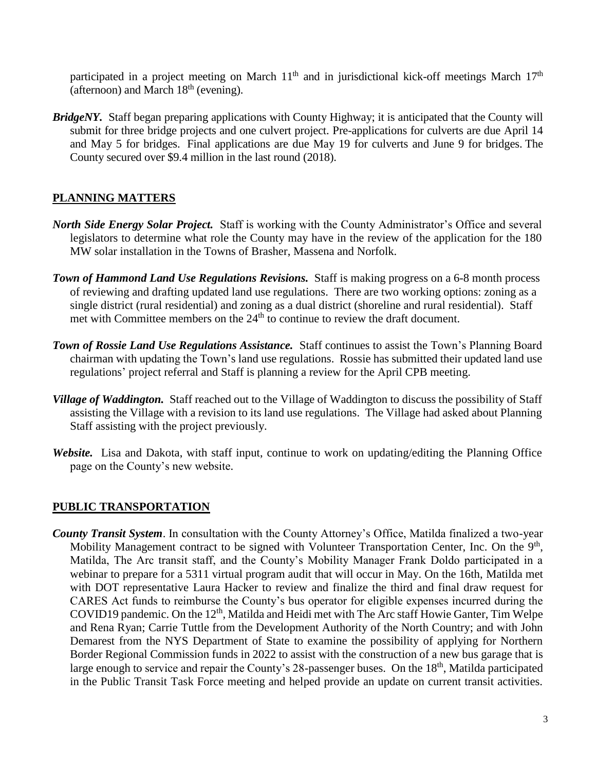participated in a project meeting on March  $11<sup>th</sup>$  and in jurisdictional kick-off meetings March  $17<sup>th</sup>$ (afternoon) and March  $18<sup>th</sup>$  (evening).

*BridgeNY.* Staff began preparing applications with County Highway; it is anticipated that the County will submit for three bridge projects and one culvert project. Pre-applications for culverts are due April 14 and May 5 for bridges. Final applications are due May 19 for culverts and June 9 for bridges. The County secured over \$9.4 million in the last round (2018).

## **PLANNING MATTERS**

- *North Side Energy Solar Project.* Staff is working with the County Administrator's Office and several legislators to determine what role the County may have in the review of the application for the 180 MW solar installation in the Towns of Brasher, Massena and Norfolk.
- *Town of Hammond Land Use Regulations Revisions.* Staff is making progress on a 6-8 month process of reviewing and drafting updated land use regulations. There are two working options: zoning as a single district (rural residential) and zoning as a dual district (shoreline and rural residential). Staff met with Committee members on the  $24<sup>th</sup>$  to continue to review the draft document.
- *Town of Rossie Land Use Regulations Assistance.* Staff continues to assist the Town's Planning Board chairman with updating the Town's land use regulations. Rossie has submitted their updated land use regulations' project referral and Staff is planning a review for the April CPB meeting.
- *Village of Waddington.* Staff reached out to the Village of Waddington to discuss the possibility of Staff assisting the Village with a revision to its land use regulations. The Village had asked about Planning Staff assisting with the project previously.
- *Website.* Lisa and Dakota, with staff input, continue to work on updating/editing the Planning Office page on the County's new website.

#### **PUBLIC TRANSPORTATION**

*County Transit System*. In consultation with the County Attorney's Office, Matilda finalized a two-year Mobility Management contract to be signed with Volunteer Transportation Center, Inc. On the 9<sup>th</sup>, Matilda, The Arc transit staff, and the County's Mobility Manager Frank Doldo participated in a webinar to prepare for a 5311 virtual program audit that will occur in May. On the 16th, Matilda met with DOT representative Laura Hacker to review and finalize the third and final draw request for CARES Act funds to reimburse the County's bus operator for eligible expenses incurred during the COVID19 pandemic. On the 12<sup>th</sup>, Matilda and Heidi met with The Arc staff Howie Ganter, Tim Welpe and Rena Ryan; Carrie Tuttle from the Development Authority of the North Country; and with John Demarest from the NYS Department of State to examine the possibility of applying for Northern Border Regional Commission funds in 2022 to assist with the construction of a new bus garage that is large enough to service and repair the County's 28-passenger buses. On the 18<sup>th</sup>, Matilda participated in the Public Transit Task Force meeting and helped provide an update on current transit activities.